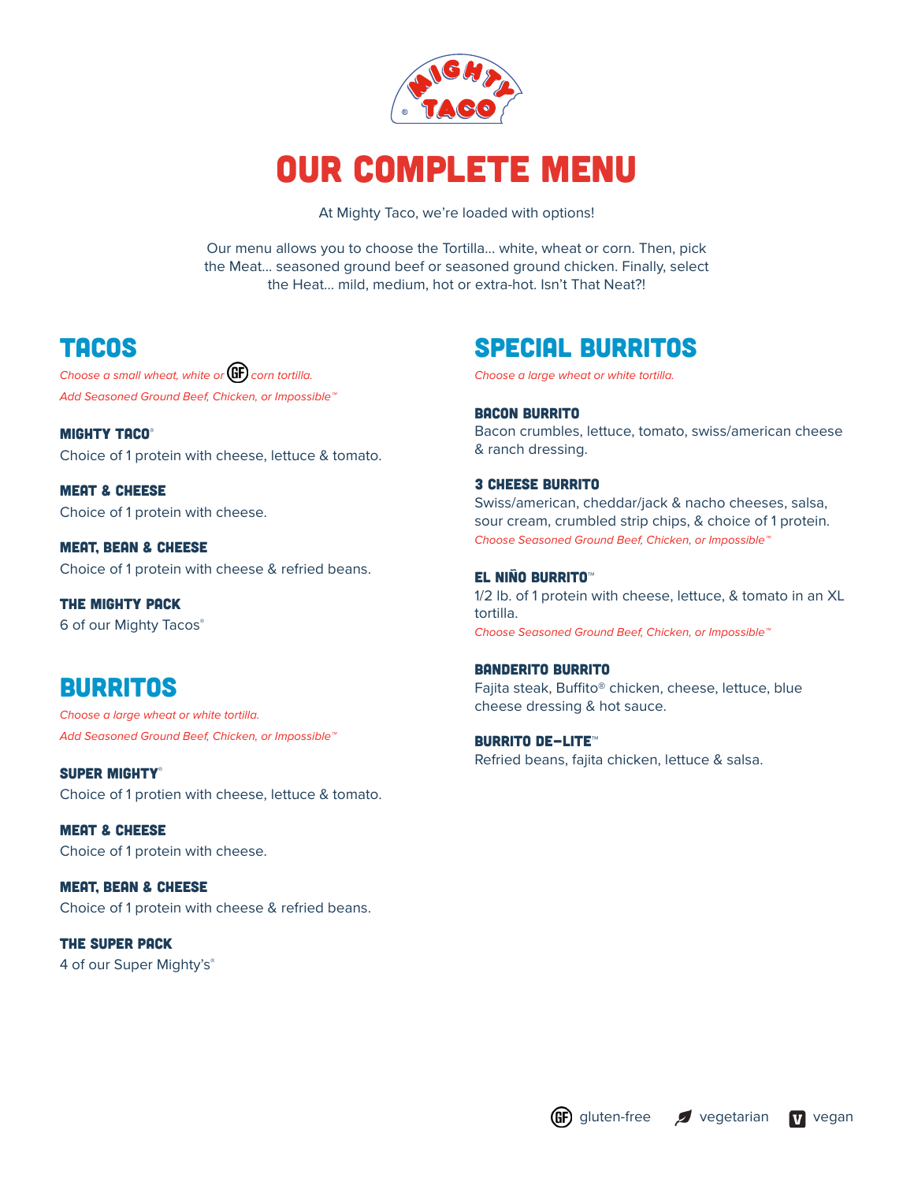

# Our Complete Menu

At Mighty Taco, we're loaded with options!

Our menu allows you to choose the Tortilla... white, wheat or corn. Then, pick the Meat... seasoned ground beef or seasoned ground chicken. Finally, select the Heat... mild, medium, hot or extra-hot. Isn't That Neat?!

## TACOS

*Choose a small wheat, white or* **GF** corn tortilla. *Add Seasoned Ground Beef, Chicken, or Impossible™*

MIGHTY TACO® Choice of 1 protein with cheese, lettuce & tomato.

Meat & cheese Choice of 1 protein with cheese.

Meat, Bean & Cheese Choice of 1 protein with cheese & refried beans.

the Mighty Pack 6 of our Mighty Tacos®

## **BURRITOS**

*Choose a large wheat or white tortilla. Add Seasoned Ground Beef, Chicken, or Impossible™*

SUPER MIGHTY® Choice of 1 protien with cheese, lettuce & tomato.

Meat & Cheese Choice of 1 protein with cheese.

Meat, Bean & Cheese Choice of 1 protein with cheese & refried beans.

The Super Pack 4 of our Super Mighty's®

## Special Burritos

*Choose a large wheat or white tortilla.* 

Bacon Burrito Bacon crumbles, lettuce, tomato, swiss/american cheese & ranch dressing.

3 Cheese Burrito Swiss/american, cheddar/jack & nacho cheeses, salsa, sour cream, crumbled strip chips, & choice of 1 protein. *Choose Seasoned Ground Beef, Chicken, or Impossible™*

#### El Niño Burrito™

1/2 lb. of 1 protein with cheese, lettuce, & tomato in an XL tortilla. *Choose Seasoned Ground Beef, Chicken, or Impossible™*

#### Banderito Burrito

Fajita steak, Buffito® chicken, cheese, lettuce, blue cheese dressing & hot sauce.

#### BURRITO DE-LITE™

Refried beans, fajita chicken, lettuce & salsa.

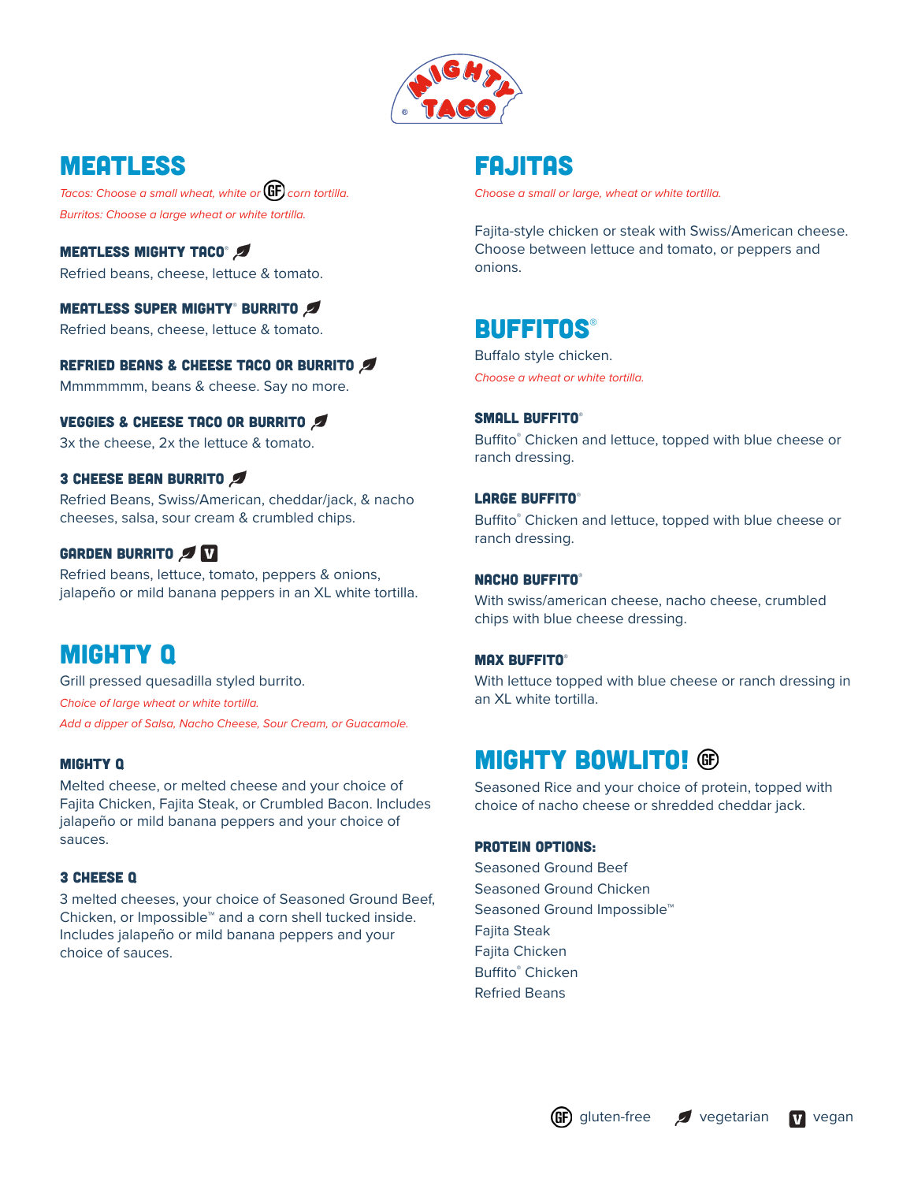

## Meatless

*Tacos: Choose a small wheat, white or* (GF) corn tortilla. *Burritos: Choose a large wheat or white tortilla.*

**MEATLESS MIGHTY TACO®** Refried beans, cheese, lettuce & tomato.

#### Meatless Super Mighty® Burrito

Refried beans, cheese, lettuce & tomato.

#### REFRIED BEANS & CHEESE TACO OR BURRITO

Mmmmmmm, beans & cheese. Say no more.

#### VEGGIES & CHEESE TACO OR BURRITO

3x the cheese, 2x the lettuce & tomato.

#### 3 CHEESE BEAN BURRITO

Refried Beans, Swiss/American, cheddar/jack, & nacho cheeses, salsa, sour cream & crumbled chips.

#### GARDEN BURRITO

Refried beans, lettuce, tomato, peppers & onions, jalapeño or mild banana peppers in an XL white tortilla.

### Mighty Q

Grill pressed quesadilla styled burrito. *Choice of large wheat or white tortilla. Add a dipper of Salsa, Nacho Cheese, Sour Cream, or Guacamole.*

#### mighty Q

Melted cheese, or melted cheese and your choice of Fajita Chicken, Fajita Steak, or Crumbled Bacon. Includes jalapeño or mild banana peppers and your choice of sauces.

#### 3 Cheese Q

3 melted cheeses, your choice of Seasoned Ground Beef, Chicken, or Impossible™ and a corn shell tucked inside. Includes jalapeño or mild banana peppers and your choice of sauces.

### FAJITAS

*Choose a small or large, wheat or white tortilla.* 

Fajita-style chicken or steak with Swiss/American cheese. Choose between lettuce and tomato, or peppers and onions.

### **BUFFITOS®**

Buffalo style chicken. *Choose a wheat or white tortilla.* 

#### SMALL BUFFITO®

Buffito® Chicken and lettuce, topped with blue cheese or ranch dressing.

#### Large Buffito®

Buffito® Chicken and lettuce, topped with blue cheese or ranch dressing.

#### NACHO BUFFITO®

With swiss/american cheese, nacho cheese, crumbled chips with blue cheese dressing.

#### MAX BUFFITO®

With lettuce topped with blue cheese or ranch dressing in an XL white tortilla.

### **MIGHTY BOWLITO! ®**

Seasoned Rice and your choice of protein, topped with choice of nacho cheese or shredded cheddar jack.

#### PROTEIN OPTIONS:

Seasoned Ground Beef Seasoned Ground Chicken Seasoned Ground Impossible<sup>™</sup> Fajita Steak Fajita Chicken Buffito® Chicken Refried Beans

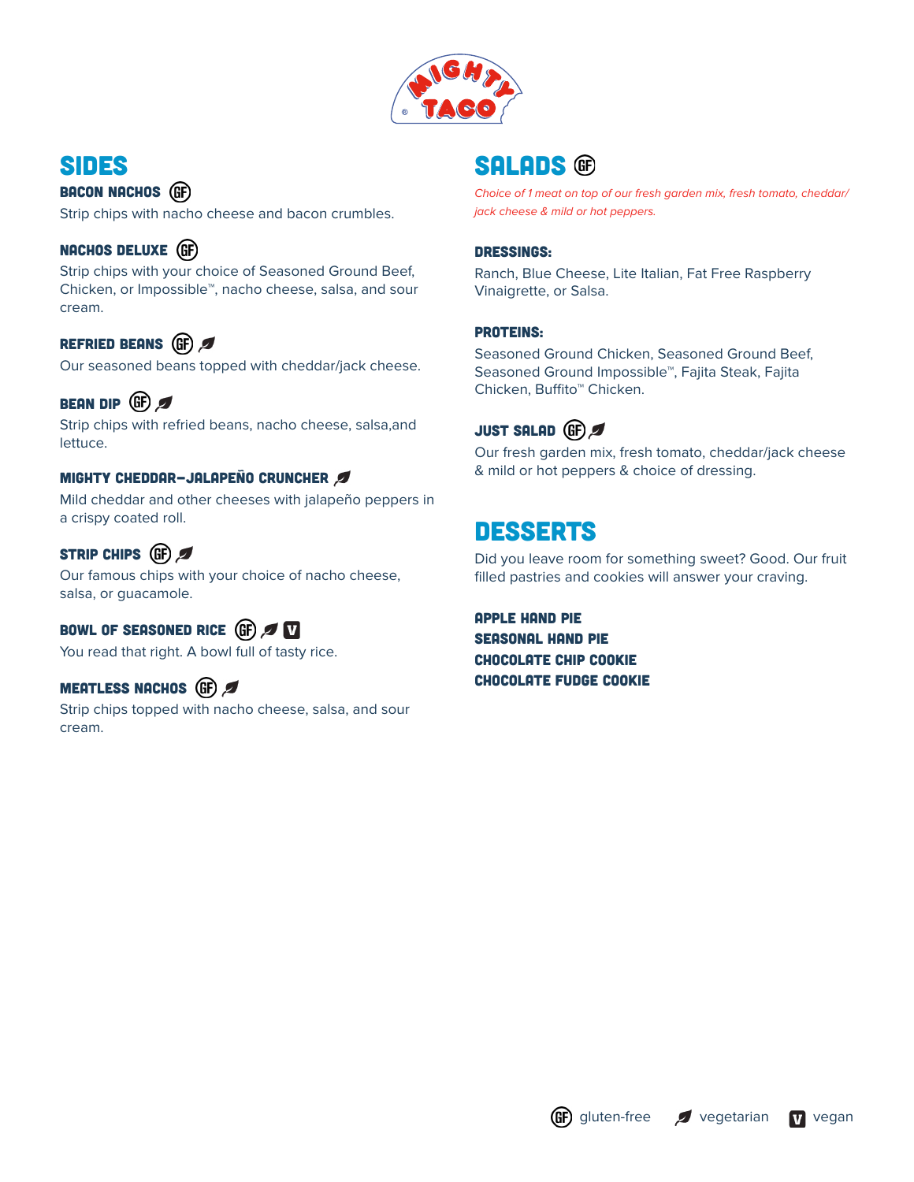

## Sides

BACON NACHOS (GF) Strip chips with nacho cheese and bacon crumbles.

### NACHOS DELUXE (GF)

Strip chips with your choice of Seasoned Ground Beef, Chicken, or Impossible™, nacho cheese, salsa, and sour cream.

### REFRIED BEANS (GF)

Our seasoned beans topped with cheddar/jack cheese.

### BEAN DIP (GF)

Strip chips with refried beans, nacho cheese, salsa,and lettuce.

#### Mighty cheddar-Jalapeño cruncher

Mild cheddar and other cheeses with jalapeño peppers in a crispy coated roll.

#### STRIP CHIPS (GF)

Our famous chips with your choice of nacho cheese, salsa, or guacamole.

### BOWL OF SEASONED RICE (GF)

You read that right. A bowl full of tasty rice.

### MEATLESS NACHOS (GF)

Strip chips topped with nacho cheese, salsa, and sour cream.

### **SALADS (G)**

*Choice of 1 meat on top of our fresh garden mix, fresh tomato, cheddar/ jack cheese & mild or hot peppers.*

#### Dressings:

Ranch, Blue Cheese, Lite Italian, Fat Free Raspberry Vinaigrette, or Salsa.

#### proteins:

Seasoned Ground Chicken, Seasoned Ground Beef, Seasoned Ground Impossible™, Fajita Steak, Fajita Chicken, Buffito™ Chicken.



Our fresh garden mix, fresh tomato, cheddar/jack cheese & mild or hot peppers & choice of dressing.

## **DESSERTS**

Did you leave room for something sweet? Good. Our fruit filled pastries and cookies will answer your craving.

apple hand pie Seasonal hand pie chocolate chip cookie chocolate fudge cookie